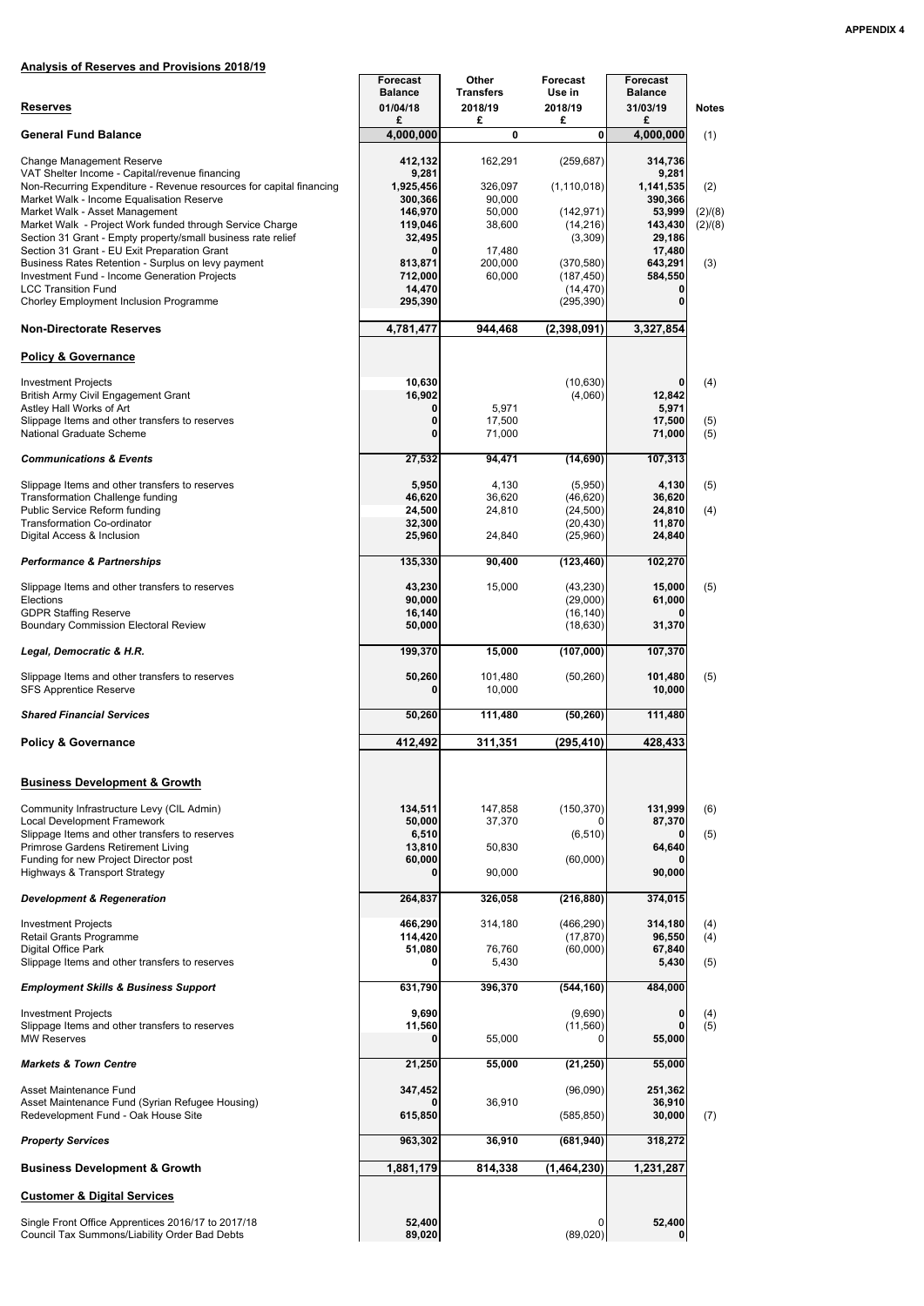# **Analysis of Reserves and Provisions 2018/19**

| <b>Reserves</b>                                                                                                                                                                                                                                                                                      | <b>Forecast</b><br><b>Balance</b><br>01/04/18                  | <b>Other</b><br><b>Transfers</b><br>2018/19      | <b>Forecast</b><br>Use in<br>2018/19                           | <b>Forecast</b><br><b>Balance</b><br>31/03/19                 | <b>Notes</b>              |
|------------------------------------------------------------------------------------------------------------------------------------------------------------------------------------------------------------------------------------------------------------------------------------------------------|----------------------------------------------------------------|--------------------------------------------------|----------------------------------------------------------------|---------------------------------------------------------------|---------------------------|
|                                                                                                                                                                                                                                                                                                      | £                                                              | £                                                | £                                                              | £                                                             |                           |
| <b>General Fund Balance</b>                                                                                                                                                                                                                                                                          | 4,000,000                                                      | 0                                                | 0                                                              | 4,000,000                                                     | (1)                       |
| <b>Change Management Reserve</b><br>VAT Shelter Income - Capital/revenue financing<br>Non-Recurring Expenditure - Revenue resources for capital financing<br>Market Walk - Income Equalisation Reserve<br>Market Walk - Asset Management<br>Market Walk - Project Work funded through Service Charge | 412,132<br>9,281<br>1,925,456<br>300,366<br>146,970<br>119,046 | 162,291<br>326,097<br>90,000<br>50,000<br>38,600 | (259, 687)<br>(1, 110, 018)<br>(142, 971)<br>(14, 216)         | 314,736<br>9,281<br>1,141,535<br>390,366<br>53,999<br>143,430 | (2)<br>(2)/(8)<br>(2)/(8) |
| Section 31 Grant - Empty property/small business rate relief<br>Section 31 Grant - EU Exit Preparation Grant<br>Business Rates Retention - Surplus on levy payment<br>Investment Fund - Income Generation Projects<br><b>LCC Transition Fund</b><br>Chorley Employment Inclusion Programme           | 32,495<br>813,871<br>712,000<br>14,470<br>295,390              | 17,480<br>200,000<br>60,000                      | (3,309)<br>(370, 580)<br>(187, 450)<br>(14, 470)<br>(295, 390) | 29,186<br>17,480<br>643,291<br>584,550                        | (3)                       |
| <b>Non-Directorate Reserves</b>                                                                                                                                                                                                                                                                      | 4,781,477                                                      | 944,468                                          | (2,398,091)                                                    | 3,327,854                                                     |                           |
| <b>Policy &amp; Governance</b>                                                                                                                                                                                                                                                                       |                                                                |                                                  |                                                                |                                                               |                           |
| <b>Investment Projects</b><br>British Army Civil Engagement Grant<br>Astley Hall Works of Art<br>Slippage Items and other transfers to reserves<br><b>National Graduate Scheme</b>                                                                                                                   | 10,630<br>16,902<br>0<br>$\bf{0}$<br>$\Omega$                  | 5,971<br>17,500<br>71,000                        | (10, 630)<br>(4,060)                                           | 0<br>12,842<br>5,971<br>17,500<br>71,000                      | (4)<br>(5)<br>(5)         |
| <b>Communications &amp; Events</b>                                                                                                                                                                                                                                                                   | 27,532                                                         | 94,471                                           | (14, 690)                                                      | 107,313                                                       |                           |
| Slippage Items and other transfers to reserves<br><b>Transformation Challenge funding</b><br>Public Service Reform funding<br><b>Transformation Co-ordinator</b><br>Digital Access & Inclusion                                                                                                       | 5,950<br>46,620<br>24,500<br>32,300<br>25,960                  | 4,130<br>36,620<br>24,810<br>24,840              | (5,950)<br>(46, 620)<br>(24, 500)<br>(20, 430)<br>(25,960)     | 4,130<br>36,620<br>24,810<br>11,870<br>24,840                 | (5)<br>(4)                |
| <b>Performance &amp; Partnerships</b>                                                                                                                                                                                                                                                                | 135,330                                                        | 90,400                                           | (123, 460)                                                     | 102,270                                                       |                           |
| Slippage Items and other transfers to reserves<br>Elections<br><b>GDPR Staffing Reserve</b><br><b>Boundary Commission Electoral Review</b>                                                                                                                                                           | 43,230<br>90,000<br>16,140<br>50,000                           | 15,000                                           | (43, 230)<br>(29,000)<br>(16, 140)<br>(18, 630)                | 15,000<br>61,000<br>31,370                                    | (5)                       |
| Legal, Democratic & H.R.                                                                                                                                                                                                                                                                             | 199,370                                                        | 15,000                                           | (107,000)                                                      | 107,370                                                       |                           |
| Slippage Items and other transfers to reserves<br><b>SFS Apprentice Reserve</b>                                                                                                                                                                                                                      | 50,260                                                         | 101,480<br>10,000                                | (50, 260)                                                      | 101,480<br>10,000                                             | (5)                       |
| <b>Shared Financial Services</b>                                                                                                                                                                                                                                                                     | 50,260                                                         | 111,480                                          | (50, 260)                                                      | 111,480                                                       |                           |
| <b>Policy &amp; Governance</b>                                                                                                                                                                                                                                                                       | 412,492                                                        | 311,351                                          | (295, 410)                                                     | 428,433                                                       |                           |
| <b>Business Development &amp; Growth</b>                                                                                                                                                                                                                                                             |                                                                |                                                  |                                                                |                                                               |                           |
| Community Infrastructure Levy (CIL Admin)<br>Local Development Framework<br>Slippage Items and other transfers to reserves                                                                                                                                                                           | 134,511<br>50,000<br>6,510                                     | 147,858<br>37,370                                | (150, 370)<br>(6, 510)                                         | 131,999<br>87,370<br>0                                        | (6)<br>(5)                |
| Primrose Gardens Retirement Living<br>Funding for new Project Director post<br><b>Highways &amp; Transport Strategy</b>                                                                                                                                                                              | 13,810<br>60,000                                               | 50,830<br>90,000                                 | (60,000)                                                       | 64,640<br>90,000                                              |                           |
| <b>Development &amp; Regeneration</b>                                                                                                                                                                                                                                                                | 264,837                                                        | 326,058                                          | (216, 880)                                                     | 374,015                                                       |                           |
| <b>Investment Projects</b><br>Retail Grants Programme<br>Digital Office Park<br>Slippage Items and other transfers to reserves                                                                                                                                                                       | 466,290<br>114,420<br>51,080                                   | 314,180<br>76,760<br>5,430                       | (466, 290)<br>(17, 870)<br>(60,000)                            | 314,180<br>96,550<br>67,840<br>5,430                          | (4)<br>(4)<br>(5)         |
| <b>Employment Skills &amp; Business Support</b>                                                                                                                                                                                                                                                      | 631,790                                                        | 396,370                                          | (544, 160)                                                     | 484,000                                                       |                           |
| <b>Investment Projects</b><br>Slippage Items and other transfers to reserves<br><b>MW Reserves</b>                                                                                                                                                                                                   | 9,690<br>11,560<br>0                                           | 55,000                                           | (9,690)<br>(11, 560)<br>O                                      | 0<br>55,000                                                   | $(4)$<br>$(5)$            |
| <b>Markets &amp; Town Centre</b>                                                                                                                                                                                                                                                                     | 21,250                                                         | 55,000                                           | (21, 250)                                                      | 55,000                                                        |                           |
| Asset Maintenance Fund<br>Asset Maintenance Fund (Syrian Refugee Housing)<br>Redevelopment Fund - Oak House Site                                                                                                                                                                                     | 347,452<br>615,850                                             | 36,910                                           | (96,090)<br>(585, 850)                                         | 251,362<br>36,910<br>30,000                                   | (7)                       |
| <b>Property Services</b>                                                                                                                                                                                                                                                                             | 963,302                                                        | 36,910                                           | (681, 940)                                                     | 318,272                                                       |                           |
| <b>Business Development &amp; Growth</b>                                                                                                                                                                                                                                                             | 1,881,179                                                      | 814,338                                          | (1,464,230)                                                    | 1,231,287                                                     |                           |
| <b>Customer &amp; Digital Services</b>                                                                                                                                                                                                                                                               |                                                                |                                                  |                                                                |                                                               |                           |
| Single Front Office Apprentices 2016/17 to 2017/18<br>Council Tax Summons/Liability Order Bad Debts                                                                                                                                                                                                  | 52,400<br>89,020                                               |                                                  | 0<br>(89,020)                                                  | 52,400<br>0                                                   |                           |